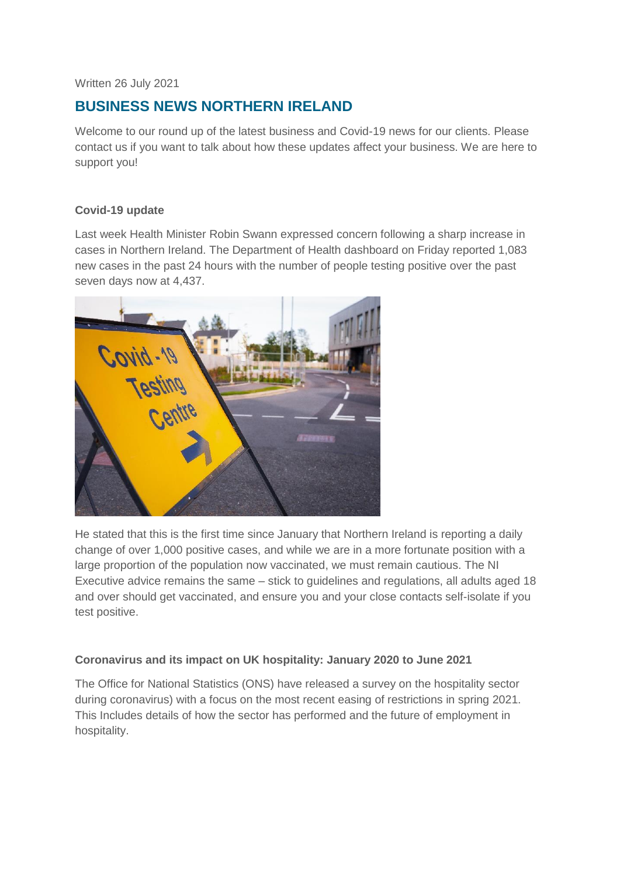Written 26 July 2021

# **BUSINESS NEWS NORTHERN IRELAND**

Welcome to our round up of the latest business and Covid-19 news for our clients. Please contact us if you want to talk about how these updates affect your business. We are here to support you!

# **Covid-19 update**

Last week Health Minister Robin Swann expressed concern following a sharp increase in cases in Northern Ireland. The Department of Health dashboard on Friday reported 1,083 new cases in the past 24 hours with the number of people testing positive over the past seven days now at 4,437.



He stated that this is the first time since January that Northern Ireland is reporting a daily change of over 1,000 positive cases, and while we are in a more fortunate position with a large proportion of the population now vaccinated, we must remain cautious. The NI Executive advice remains the same – stick to guidelines and regulations, all adults aged 18 and over should get vaccinated, and ensure you and your close contacts self-isolate if you test positive.

# **Coronavirus and its impact on UK hospitality: January 2020 to June 2021**

The Office for National Statistics (ONS) have released a survey on the hospitality sector during coronavirus) with a focus on the most recent easing of restrictions in spring 2021. This Includes details of how the sector has performed and the future of employment in hospitality.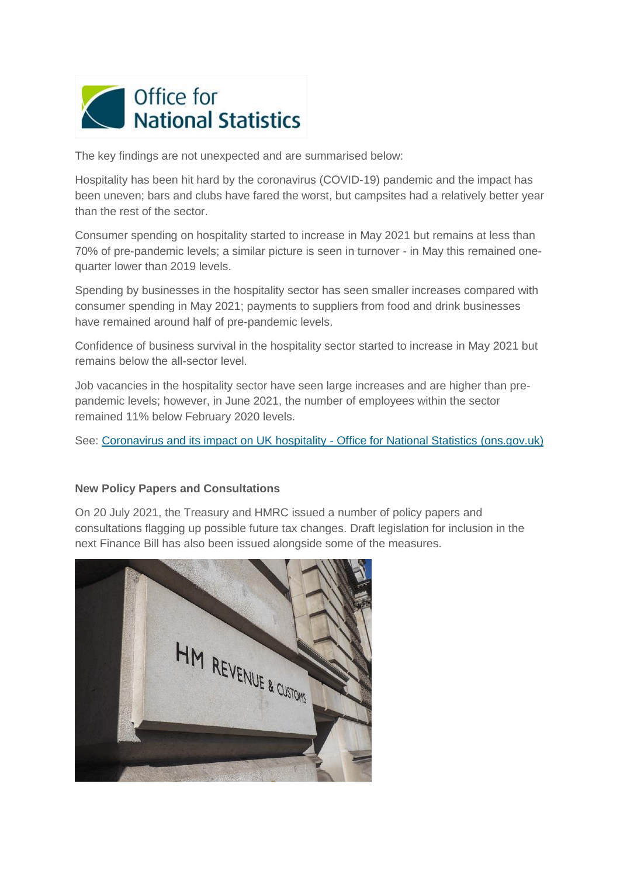

The key findings are not unexpected and are summarised below:

Hospitality has been hit hard by the coronavirus (COVID-19) pandemic and the impact has been uneven; bars and clubs have fared the worst, but campsites had a relatively better year than the rest of the sector.

Consumer spending on hospitality started to increase in May 2021 but remains at less than 70% of pre-pandemic levels; a similar picture is seen in turnover - in May this remained onequarter lower than 2019 levels.

Spending by businesses in the hospitality sector has seen smaller increases compared with consumer spending in May 2021; payments to suppliers from food and drink businesses have remained around half of pre-pandemic levels.

Confidence of business survival in the hospitality sector started to increase in May 2021 but remains below the all-sector level.

Job vacancies in the hospitality sector have seen large increases and are higher than prepandemic levels; however, in June 2021, the number of employees within the sector remained 11% below February 2020 levels.

See: [Coronavirus and its impact on UK hospitality -](https://www.ons.gov.uk/businessindustryandtrade/business/activitysizeandlocation/articles/coronavirusanditsimpactonukhospitality/january2020tojune2021) Office for National Statistics (ons.gov.uk)

#### **New Policy Papers and Consultations**

On 20 July 2021, the Treasury and HMRC issued a number of policy papers and consultations flagging up possible future tax changes. Draft legislation for inclusion in the next Finance Bill has also been issued alongside some of the measures.

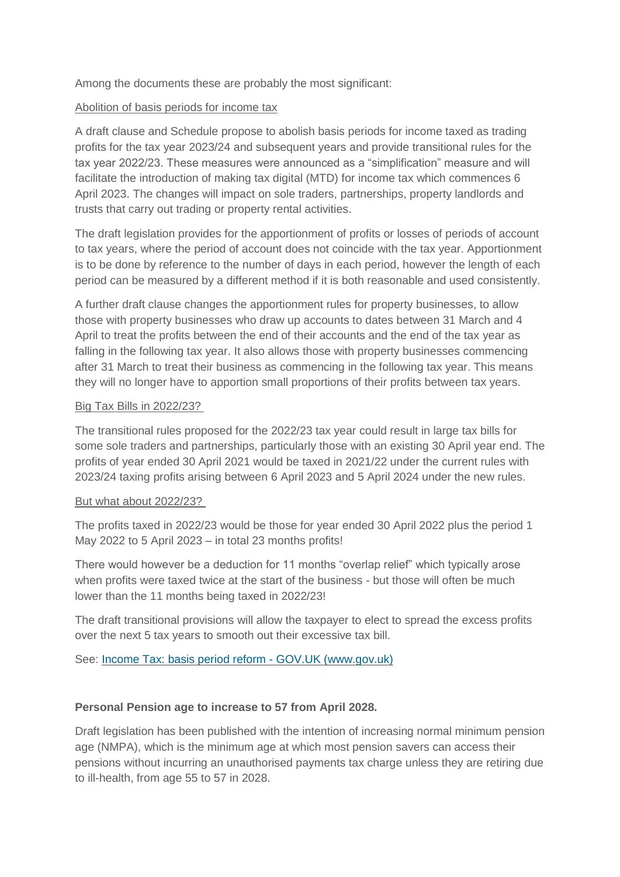Among the documents these are probably the most significant:

### Abolition of basis periods for income tax

A draft clause and Schedule propose to abolish basis periods for income taxed as trading profits for the tax year 2023/24 and subsequent years and provide transitional rules for the tax year 2022/23. These measures were announced as a "simplification" measure and will facilitate the introduction of making tax digital (MTD) for income tax which commences 6 April 2023. The changes will impact on sole traders, partnerships, property landlords and trusts that carry out trading or property rental activities.

The draft legislation provides for the apportionment of profits or losses of periods of account to tax years, where the period of account does not coincide with the tax year. Apportionment is to be done by reference to the number of days in each period, however the length of each period can be measured by a different method if it is both reasonable and used consistently.

A further draft clause changes the apportionment rules for property businesses, to allow those with property businesses who draw up accounts to dates between 31 March and 4 April to treat the profits between the end of their accounts and the end of the tax year as falling in the following tax year. It also allows those with property businesses commencing after 31 March to treat their business as commencing in the following tax year. This means they will no longer have to apportion small proportions of their profits between tax years.

### Big Tax Bills in 2022/23?

The transitional rules proposed for the 2022/23 tax year could result in large tax bills for some sole traders and partnerships, particularly those with an existing 30 April year end. The profits of year ended 30 April 2021 would be taxed in 2021/22 under the current rules with 2023/24 taxing profits arising between 6 April 2023 and 5 April 2024 under the new rules.

#### But what about 2022/23?

The profits taxed in 2022/23 would be those for year ended 30 April 2022 plus the period 1 May 2022 to 5 April 2023 – in total 23 months profits!

There would however be a deduction for 11 months "overlap relief" which typically arose when profits were taxed twice at the start of the business - but those will often be much lower than the 11 months being taxed in 2022/23!

The draft transitional provisions will allow the taxpayer to elect to spread the excess profits over the next 5 tax years to smooth out their excessive tax bill.

See: [Income Tax: basis period reform -](https://www.gov.uk/government/publications/income-tax-basis-period-reform/income-tax-basis-period-reform) GOV.UK (www.gov.uk)

# **Personal Pension age to increase to 57 from April 2028.**

Draft legislation has been published with the intention of increasing normal minimum pension age (NMPA), which is the minimum age at which most pension savers can access their pensions without incurring an unauthorised payments tax charge unless they are retiring due to ill-health, from age 55 to 57 in 2028.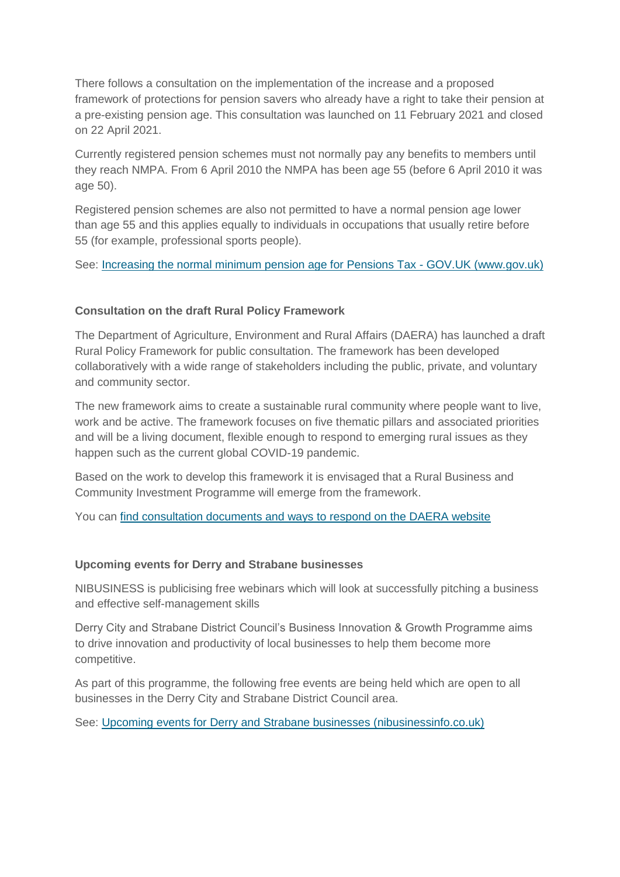There follows a consultation on the implementation of the increase and a proposed framework of protections for pension savers who already have a right to take their pension at a pre-existing pension age. This consultation was launched on 11 February 2021 and closed on 22 April 2021.

Currently registered pension schemes must not normally pay any benefits to members until they reach NMPA. From 6 April 2010 the NMPA has been age 55 (before 6 April 2010 it was age 50).

Registered pension schemes are also not permitted to have a normal pension age lower than age 55 and this applies equally to individuals in occupations that usually retire before 55 (for example, professional sports people).

See: [Increasing the normal minimum pension age for Pensions Tax -](https://www.gov.uk/government/publications/increasing-the-normal-minimum-pension-age-for-pensions-tax) GOV.UK (www.gov.uk)

### **Consultation on the draft Rural Policy Framework**

The Department of Agriculture, Environment and Rural Affairs (DAERA) has launched a draft Rural Policy Framework for public consultation. The framework has been developed collaboratively with a wide range of stakeholders including the public, private, and voluntary and community sector.

The new framework aims to create a sustainable rural community where people want to live, work and be active. The framework focuses on five thematic pillars and associated priorities and will be a living document, flexible enough to respond to emerging rural issues as they happen such as the current global COVID-19 pandemic.

Based on the work to develop this framework it is envisaged that a Rural Business and Community Investment Programme will emerge from the framework.

You can [find consultation documents and ways to respond on the DAERA website](https://www.daera-ni.gov.uk/consultations/rural-policy-framework-northern-ireland-consultation)

#### **Upcoming events for Derry and Strabane businesses**

NIBUSINESS is publicising free webinars which will look at successfully pitching a business and effective self-management skills

Derry City and Strabane District Council's Business Innovation & Growth Programme aims to drive innovation and productivity of local businesses to help them become more competitive.

As part of this programme, the following free events are being held which are open to all businesses in the Derry City and Strabane District Council area.

See: [Upcoming events for Derry and Strabane businesses \(nibusinessinfo.co.uk\)](https://www.nibusinessinfo.co.uk/content/upcoming-events-derry-and-strabane-businesses)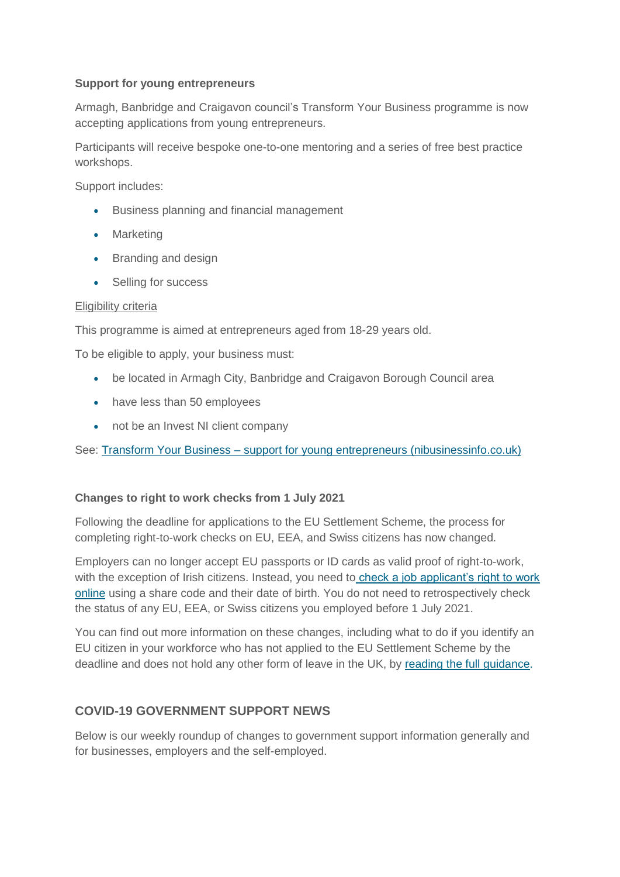### **Support for young entrepreneurs**

Armagh, Banbridge and Craigavon council's Transform Your Business programme is now accepting applications from young entrepreneurs.

Participants will receive bespoke one-to-one mentoring and a series of free best practice workshops.

Support includes:

- **•** Business planning and financial management
- Marketing
- Branding and design
- Selling for success

#### Eligibility criteria

This programme is aimed at entrepreneurs aged from 18-29 years old.

To be eligible to apply, your business must:

- be located in Armagh City, Banbridge and Craigavon Borough Council area
- have less than 50 employees
- not be an Invest NI client company

See: Transform Your Business – [support for young entrepreneurs \(nibusinessinfo.co.uk\)](https://www.nibusinessinfo.co.uk/content/transform-your-business-support-young-entrepreneurs)

#### **Changes to right to work checks from 1 July 2021**

Following the deadline for applications to the EU Settlement Scheme, the process for completing right-to-work checks on EU, EEA, and Swiss citizens has now changed.

Employers can no longer accept EU passports or ID cards as valid proof of right-to-work, with the exception of Irish citizens. Instead, you need to [check a job applicant's right to work](https://www.gov.uk/view-right-to-work)  [online](https://www.gov.uk/view-right-to-work) using a share code and their date of birth. You do not need to retrospectively check the status of any EU, EEA, or Swiss citizens you employed before 1 July 2021.

You can find out more information on these changes, including what to do if you identify an EU citizen in your workforce who has not applied to the EU Settlement Scheme by the deadline and does not hold any other form of leave in the UK, by [reading the full guidance.](https://www.gov.uk/government/publications/right-to-work-checks-employers-guide)

# **COVID-19 GOVERNMENT SUPPORT NEWS**

Below is our weekly roundup of changes to government support information generally and for businesses, employers and the self-employed.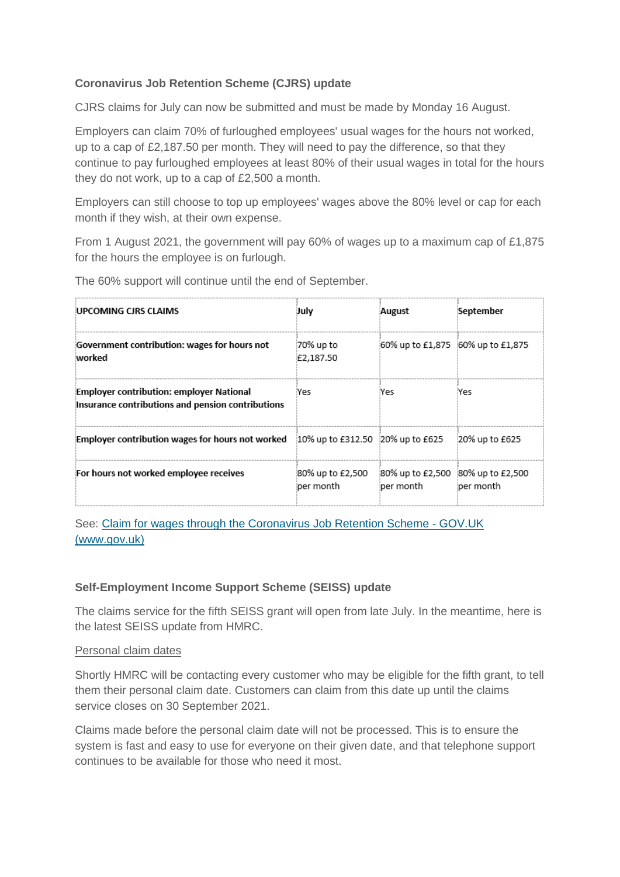# **Coronavirus Job Retention Scheme (CJRS) update**

CJRS claims for July can now be submitted and must be made by Monday 16 August.

Employers can claim 70% of furloughed employees' usual wages for the hours not worked, up to a cap of £2,187.50 per month. They will need to pay the difference, so that they continue to pay furloughed employees at least 80% of their usual wages in total for the hours they do not work, up to a cap of £2,500 a month.

Employers can still choose to top up employees' wages above the 80% level or cap for each month if they wish, at their own expense.

From 1 August 2021, the government will pay 60% of wages up to a maximum cap of £1,875 for the hours the employee is on furlough.

| UPCOMING CIRS CLAIMS                                                                          | Julv                          | August                                         | September      |
|-----------------------------------------------------------------------------------------------|-------------------------------|------------------------------------------------|----------------|
| Government contribution: wages for hours not<br>worked                                        | 70% up to<br>£2,187.50        | 60% up to £1,875 60% up to £1,875              |                |
| Employer contribution: employer National<br>Insurance contributions and pension contributions | Yes                           | Yes                                            | Yes            |
| Employer contribution wages for hours not worked 20% up to £312.50 20% up to £625             |                               |                                                | 20% up to £625 |
| For hours not worked employee receives                                                        | 80% up to £2,500<br>per month | 80% up to £2,500 80% up to £2,500<br>per month | per month      |

The 60% support will continue until the end of September.

See: [Claim for wages through the Coronavirus Job Retention Scheme -](https://www.gov.uk/guidance/claim-for-wages-through-the-coronavirus-job-retention-scheme) GOV.UK [\(www.gov.uk\)](https://www.gov.uk/guidance/claim-for-wages-through-the-coronavirus-job-retention-scheme)

# **Self-Employment Income Support Scheme (SEISS) update**

The claims service for the fifth SEISS grant will open from late July. In the meantime, here is the latest SEISS update from HMRC.

#### Personal claim dates

Shortly HMRC will be contacting every customer who may be eligible for the fifth grant, to tell them their personal claim date. Customers can claim from this date up until the claims service closes on 30 September 2021.

Claims made before the personal claim date will not be processed. This is to ensure the system is fast and easy to use for everyone on their given date, and that telephone support continues to be available for those who need it most.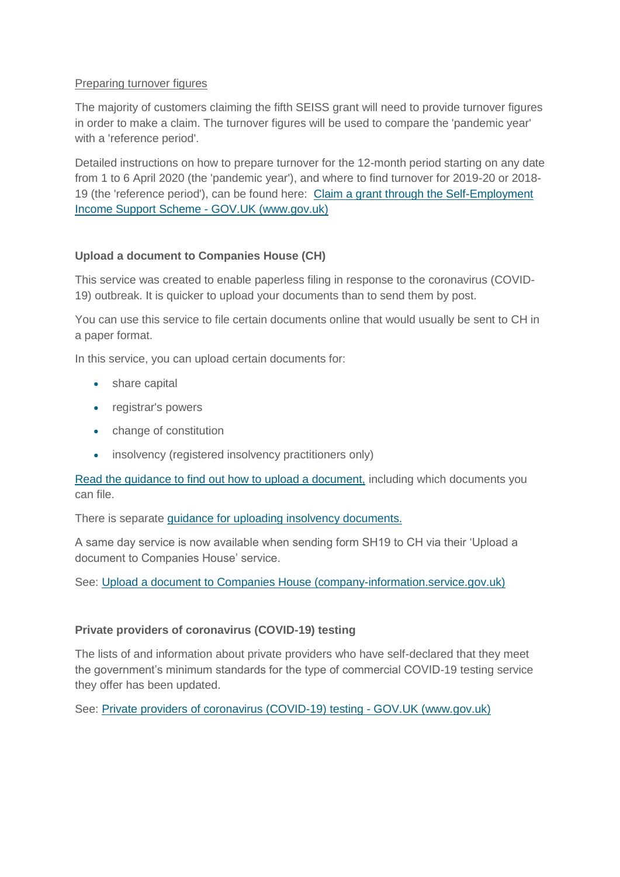### Preparing turnover figures

The majority of customers claiming the fifth SEISS grant will need to provide turnover figures in order to make a claim. The turnover figures will be used to compare the 'pandemic year' with a 'reference period'.

Detailed instructions on how to prepare turnover for the 12-month period starting on any date from 1 to 6 April 2020 (the 'pandemic year'), and where to find turnover for 2019-20 or 2018- 19 (the 'reference period'), can be found here: [Claim a grant through the Self-Employment](https://www.gov.uk/guidance/claim-a-grant-through-the-self-employment-income-support-scheme)  [Income Support Scheme -](https://www.gov.uk/guidance/claim-a-grant-through-the-self-employment-income-support-scheme) GOV.UK (www.gov.uk)

### **Upload a document to Companies House (CH)**

This service was created to enable paperless filing in response to the coronavirus (COVID-19) outbreak. It is quicker to upload your documents than to send them by post.

You can use this service to file certain documents online that would usually be sent to CH in a paper format.

In this service, you can upload certain documents for:

- share capital
- registrar's powers
- change of constitution
- insolvency (registered insolvency practitioners only)

[Read the guidance to find out how to upload a document,](https://find-and-update.company-information.service.gov.uk/efs-submission/guidance) including which documents you can file.

There is separate [guidance for uploading insolvency documents.](https://find-and-update.company-information.service.gov.uk/efs-submission/insolvency-guidance)

A same day service is now available when sending form SH19 to CH via their 'Upload a document to Companies House' service.

See: [Upload a document to Companies House \(company-information.service.gov.uk\)](https://find-and-update.company-information.service.gov.uk/efs-submission/start?_ga=2.167898600.814641741.1626595577-1842523248.1618655648)

#### **Private providers of coronavirus (COVID-19) testing**

The lists of and information about private providers who have self-declared that they meet the government's minimum standards for the type of commercial COVID-19 testing service they offer has been updated.

See: [Private providers of coronavirus \(COVID-19\) testing -](https://www.gov.uk/government/publications/list-of-private-providers-of-coronavirus-testing?utm_medium=email&utm_campaign=govuk-notifications&utm_source=d2510ccc-80c1-4bc6-8904-a161c7e02df2&utm_content=daily) GOV.UK (www.gov.uk)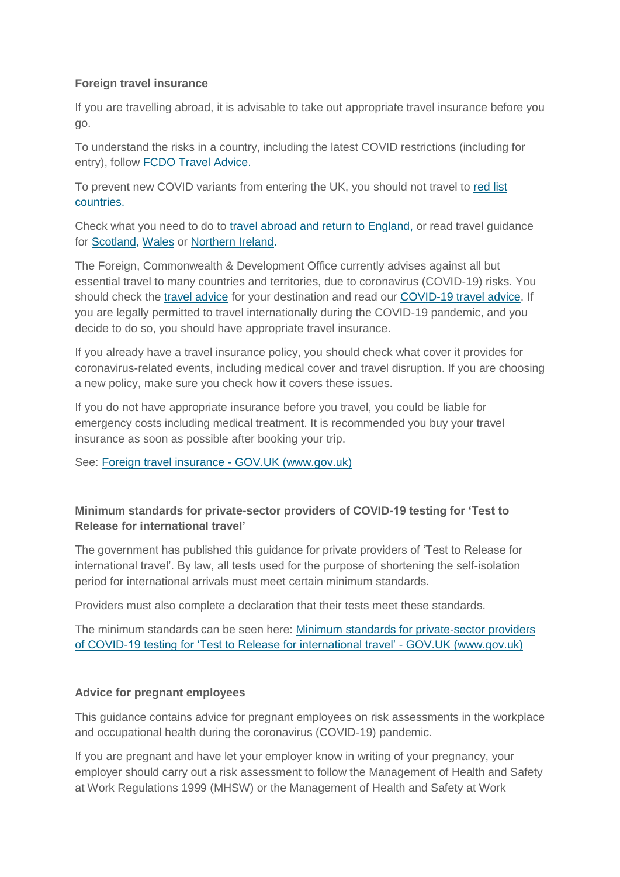# **Foreign travel insurance**

If you are travelling abroad, it is advisable to take out appropriate travel insurance before you go.

To understand the risks in a country, including the latest COVID restrictions (including for entry), follow [FCDO Travel Advice.](https://www.gov.uk/foreign-travel-advice)

To prevent new COVID variants from entering the UK, you should not travel to [red list](https://www.gov.uk/guidance/red-amber-and-green-list-rules-for-entering-england)  [countries.](https://www.gov.uk/guidance/red-amber-and-green-list-rules-for-entering-england)

Check what you need to do to [travel abroad and return to England,](https://www.gov.uk/guidance/travel-abroad-from-england-during-coronavirus-covid-19) or read travel guidance for [Scotland,](https://www.gov.scot/publications/coronavirus-covid-19-guidance-on-travel-and-transport) [Wales](https://gov.wales/coronavirus-travel) or [Northern Ireland.](https://www.nidirect.gov.uk/articles/coronavirus-covid-19-travel-advice)

The Foreign, Commonwealth & Development Office currently advises against all but essential travel to many countries and territories, due to coronavirus (COVID-19) risks. You should check the [travel advice](https://www.gov.uk/foreign-travel-advice) for your destination and read our [COVID-19 travel advice.](https://www.gov.uk/guidance/travel-advice-novel-coronavirus) If you are legally permitted to travel internationally during the COVID-19 pandemic, and you decide to do so, you should have appropriate travel insurance.

If you already have a travel insurance policy, you should check what cover it provides for coronavirus-related events, including medical cover and travel disruption. If you are choosing a new policy, make sure you check how it covers these issues.

If you do not have appropriate insurance before you travel, you could be liable for emergency costs including medical treatment. It is recommended you buy your travel insurance as soon as possible after booking your trip.

See: [Foreign travel insurance -](https://www.gov.uk/guidance/foreign-travel-insurance?utm_medium=email&utm_campaign=govuk-notifications&utm_source=d3299a4a-ea6b-49ae-8066-a2aceb4ae4bd&utm_content=daily) GOV.UK (www.gov.uk)

# **Minimum standards for private-sector providers of COVID-19 testing for 'Test to Release for international travel'**

The government has published this guidance for private providers of 'Test to Release for international travel'. By law, all tests used for the purpose of shortening the self-isolation period for international arrivals must meet certain minimum standards.

Providers must also complete a declaration that their tests meet these standards.

The minimum standards can be seen here: [Minimum standards for private-sector providers](https://www.gov.uk/government/publications/testing-to-release-for-international-travel-minimum-standards-for-testing/minimum-standards-for-private-sector-providers-of-covid-19-testing-for-testing-to-release-for-international-travel)  [of COVID-19 testing for 'Test to Release for international travel' -](https://www.gov.uk/government/publications/testing-to-release-for-international-travel-minimum-standards-for-testing/minimum-standards-for-private-sector-providers-of-covid-19-testing-for-testing-to-release-for-international-travel) GOV.UK (www.gov.uk)

# **Advice for pregnant employees**

This guidance contains advice for pregnant employees on risk assessments in the workplace and occupational health during the coronavirus (COVID-19) pandemic.

If you are pregnant and have let your employer know in writing of your pregnancy, your employer should carry out a risk assessment to follow the Management of Health and Safety at Work Regulations 1999 (MHSW) or the Management of Health and Safety at Work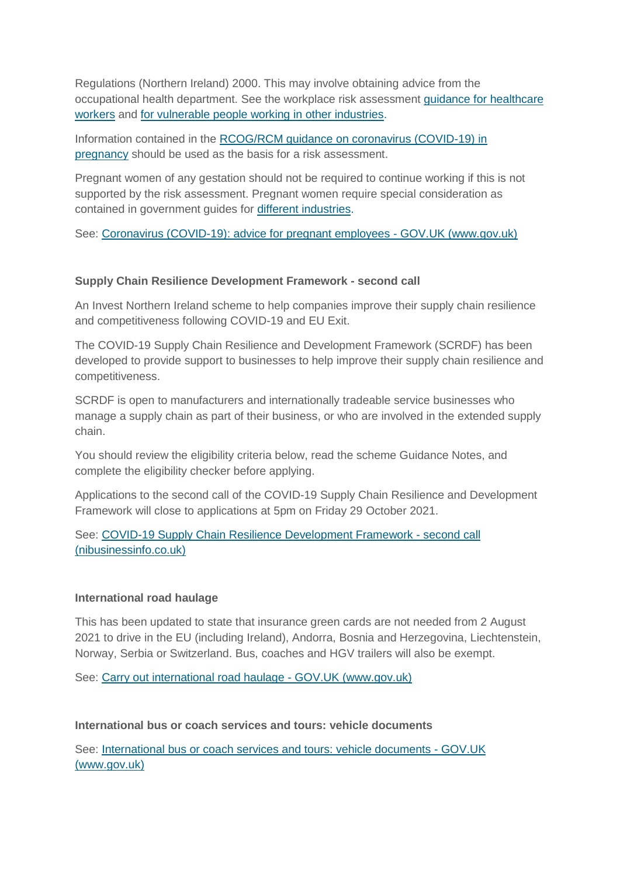Regulations (Northern Ireland) 2000. This may involve obtaining advice from the occupational health department. See the workplace risk assessment [guidance for healthcare](https://www.nhsemployers.org/covid19/health-safety-and-wellbeing/risk-assessments-for-staff)  [workers](https://www.nhsemployers.org/covid19/health-safety-and-wellbeing/risk-assessments-for-staff) and [for vulnerable people working in other industries.](https://www.hse.gov.uk/coronavirus/working-safely/index.htm)

Information contained in the [RCOG/RCM guidance on coronavirus \(COVID-19\) in](https://www.rcog.org.uk/en/guidelines-research-services/guidelines/coronavirus-pregnancy/)  [pregnancy](https://www.rcog.org.uk/en/guidelines-research-services/guidelines/coronavirus-pregnancy/) should be used as the basis for a risk assessment.

Pregnant women of any gestation should not be required to continue working if this is not supported by the risk assessment. Pregnant women require special consideration as contained in government guides for [different industries.](https://www.hse.gov.uk/coronavirus/working-safely/index.htm)

See: [Coronavirus \(COVID-19\): advice for pregnant employees -](https://www.gov.uk/government/publications/coronavirus-covid-19-advice-for-pregnant-employees/coronavirus-covid-19-advice-for-pregnant-employees) GOV.UK (www.gov.uk)

### **Supply Chain Resilience Development Framework - second call**

An Invest Northern Ireland scheme to help companies improve their supply chain resilience and competitiveness following COVID-19 and EU Exit.

The COVID-19 Supply Chain Resilience and Development Framework (SCRDF) has been developed to provide support to businesses to help improve their supply chain resilience and competitiveness.

SCRDF is open to manufacturers and internationally tradeable service businesses who manage a supply chain as part of their business, or who are involved in the extended supply chain.

You should review the eligibility criteria below, read the scheme Guidance Notes, and complete the eligibility checker before applying.

Applications to the second call of the COVID-19 Supply Chain Resilience and Development Framework will close to applications at 5pm on Friday 29 October 2021.

### See: [COVID-19 Supply Chain Resilience Development Framework -](https://www.nibusinessinfo.co.uk/content/covid-19-supply-chain-resilience-development-framework-second-call) second call [\(nibusinessinfo.co.uk\)](https://www.nibusinessinfo.co.uk/content/covid-19-supply-chain-resilience-development-framework-second-call)

#### **International road haulage**

This has been updated to state that insurance green cards are not needed from 2 August 2021 to drive in the EU (including Ireland), Andorra, Bosnia and Herzegovina, Liechtenstein, Norway, Serbia or Switzerland. Bus, coaches and HGV trailers will also be exempt.

See: [Carry out international road haulage -](https://www.gov.uk/guidance/carry-out-international-road-haulage?utm_medium=email&utm_campaign=govuk-notifications&utm_source=0a8dd627-1274-4324-a75a-90f7f8b342ff&utm_content=daily) GOV.UK (www.gov.uk)

#### **International bus or coach services and tours: vehicle documents**

See: [International bus or coach services and tours: vehicle documents -](https://www.gov.uk/guidance/international-bus-or-coach-services-and-tours-vehicle-documents?utm_medium=email&utm_campaign=govuk-notifications&utm_source=56a8f4b8-396f-4192-88f8-6ddd839ea4fa&utm_content=daily) GOV.UK [\(www.gov.uk\)](https://www.gov.uk/guidance/international-bus-or-coach-services-and-tours-vehicle-documents?utm_medium=email&utm_campaign=govuk-notifications&utm_source=56a8f4b8-396f-4192-88f8-6ddd839ea4fa&utm_content=daily)